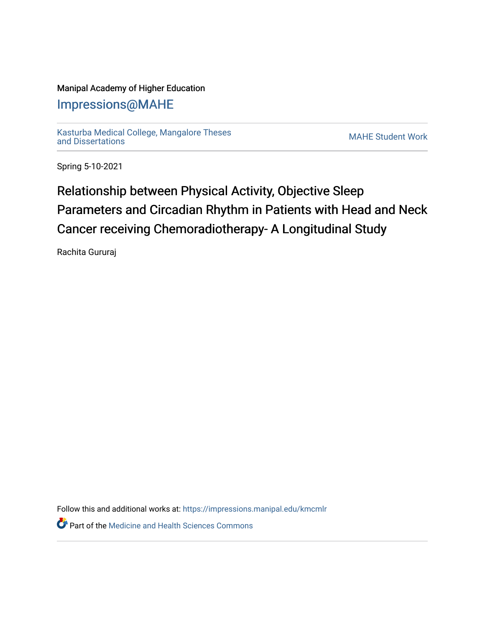## Manipal Academy of Higher Education

## [Impressions@MAHE](https://impressions.manipal.edu/)

[Kasturba Medical College, Mangalore Theses](https://impressions.manipal.edu/kmcmlr) [and Dissertations](https://impressions.manipal.edu/kmcmlr) [MAHE Student Work](https://impressions.manipal.edu/student-work) 

Spring 5-10-2021

## Relationship between Physical Activity, Objective Sleep Parameters and Circadian Rhythm in Patients with Head and Neck Cancer receiving Chemoradiotherapy- A Longitudinal Study

Rachita Gururaj

Follow this and additional works at: [https://impressions.manipal.edu/kmcmlr](https://impressions.manipal.edu/kmcmlr?utm_source=impressions.manipal.edu%2Fkmcmlr%2F115&utm_medium=PDF&utm_campaign=PDFCoverPages) 

**P** Part of the Medicine and Health Sciences Commons